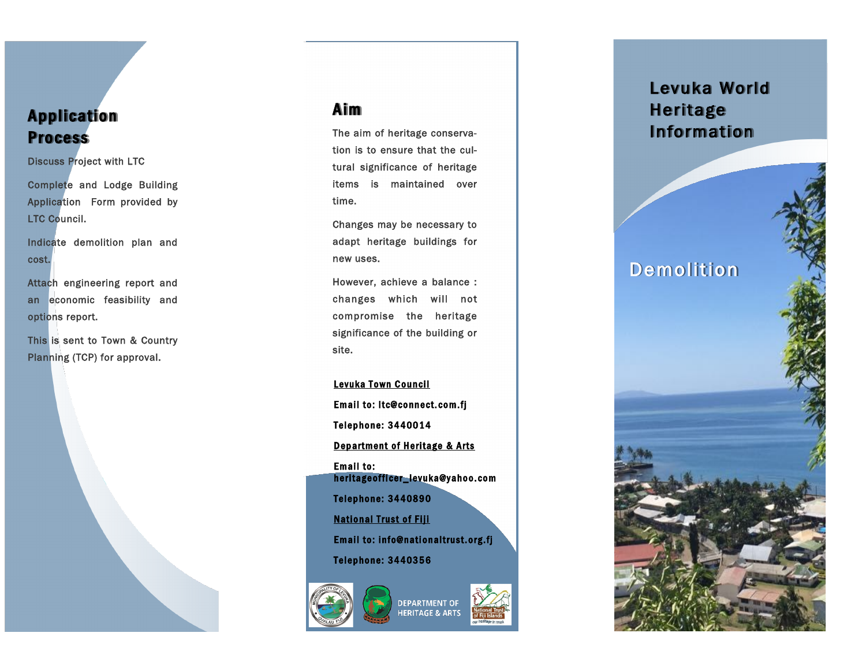### **Application Process**

Discuss Project with LTC

Complete and Lodge Building Application Form provided by LTC Council.

Indicate demolition plan and cost.

Attach engineering report and an economic feasibility and options report.

This is sent to Town & Country Planning (TCP) for approval.



The aim of heritage conservation is to ensure that the cultural significance of heritage items is maintained over time.

Changes may be necessary to adapt heritage buildings for new uses.

However, achieve a balance : changes which will not compromise the heritage significance of the building or site.

Levuka Town Council Email to: ltc@connect.com.fj Telephone: 3440014 Department of Heritage & Arts Email to: heritage officer\_levuka@yahoo.com Telephone: 3440890 **National Trust of Fiji** Email to: info@nationaltrust.org.fj Telephone: 3440356



## Levuka World Heritage Information